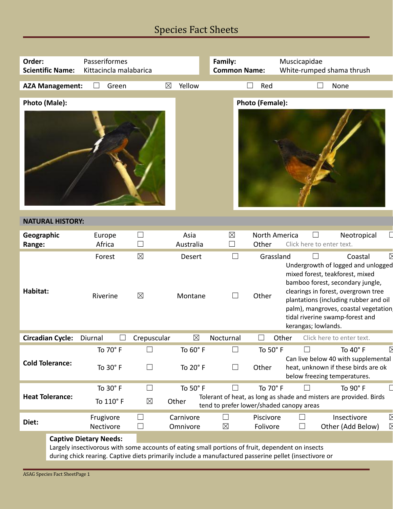| Order:                  | Passeriformes          |             |        | Family:             |                        | Muscicapidae              |
|-------------------------|------------------------|-------------|--------|---------------------|------------------------|---------------------------|
| <b>Scientific Name:</b> | Kittacincla malabarica |             |        | <b>Common Name:</b> |                        | White-rumped shama thrush |
|                         |                        |             |        |                     |                        |                           |
| <b>AZA Management:</b>  | Green                  | $\boxtimes$ | Yellow |                     | Red                    | None                      |
|                         |                        |             |        |                     |                        |                           |
| <b>Photo (Male):</b>    |                        |             |        |                     | <b>Photo (Female):</b> |                           |
|                         |                        |             |        |                     |                        |                           |

### **NATURAL HISTORY:**

| Geographic<br>Range:                                                                                                                                                                                      | Europe<br>Africa       |                            | Asia<br>Australia                                                                                                       | $\boxtimes$<br>⊔ | North America<br>Other |       | Neotropical<br>Click here to enter text.                                                                                                                                                                                                                                                               |                  |  |
|-----------------------------------------------------------------------------------------------------------------------------------------------------------------------------------------------------------|------------------------|----------------------------|-------------------------------------------------------------------------------------------------------------------------|------------------|------------------------|-------|--------------------------------------------------------------------------------------------------------------------------------------------------------------------------------------------------------------------------------------------------------------------------------------------------------|------------------|--|
| Habitat:                                                                                                                                                                                                  | Forest<br>Riverine     | $\boxtimes$<br>$\boxtimes$ | Desert<br>Montane                                                                                                       | $\mathbf{I}$     | Grassland<br>Other     |       | Coastal<br>Undergrowth of logged and unlogged<br>mixed forest, teakforest, mixed<br>bamboo forest, secondary jungle,<br>clearings in forest, overgrown tree<br>plantations (including rubber and oil<br>palm), mangroves, coastal vegetation<br>tidal riverine swamp-forest and<br>kerangas; lowlands. |                  |  |
| <b>Circadian Cycle:</b>                                                                                                                                                                                   | Diurnal                | Crepuscular                | $\boxtimes$                                                                                                             | Nocturnal        | $\Box$                 | Other | Click here to enter text.                                                                                                                                                                                                                                                                              |                  |  |
|                                                                                                                                                                                                           | To $70^\circ$ F        |                            | To 60° F                                                                                                                | П                | To $50^\circ$ F        |       | To $40^\circ$ F                                                                                                                                                                                                                                                                                        | ▷                |  |
| <b>Cold Tolerance:</b>                                                                                                                                                                                    | To 30° F               |                            | To $20^\circ$ F                                                                                                         | $\Box$           | Other                  |       | Can live below 40 with supplemental<br>heat, unknown if these birds are ok<br>below freezing temperatures.                                                                                                                                                                                             |                  |  |
|                                                                                                                                                                                                           | To 30° F               |                            | To 50° F                                                                                                                | Г                | To 70° F               |       | To $90^\circ$ F                                                                                                                                                                                                                                                                                        |                  |  |
| <b>Heat Tolerance:</b>                                                                                                                                                                                    | To 110° F              | $\times$                   | Tolerant of heat, as long as shade and misters are provided. Birds<br>Other<br>tend to prefer lower/shaded canopy areas |                  |                        |       |                                                                                                                                                                                                                                                                                                        |                  |  |
| Diet:                                                                                                                                                                                                     | Frugivore<br>Nectivore | $\mathbf{L}$               | Carnivore<br>Omnivore                                                                                                   | $\boxtimes$      | Piscivore<br>Folivore  |       | Insectivore<br>Other (Add Below)                                                                                                                                                                                                                                                                       | $\triangleright$ |  |
| <b>Captive Dietary Needs:</b>                                                                                                                                                                             |                        |                            |                                                                                                                         |                  |                        |       |                                                                                                                                                                                                                                                                                                        |                  |  |
| Largely insectivorous with some accounts of eating small portions of fruit, dependent on insects<br>during chick rearing. Captive diets primarily include a manufactured passerine pellet (insectivore or |                        |                            |                                                                                                                         |                  |                        |       |                                                                                                                                                                                                                                                                                                        |                  |  |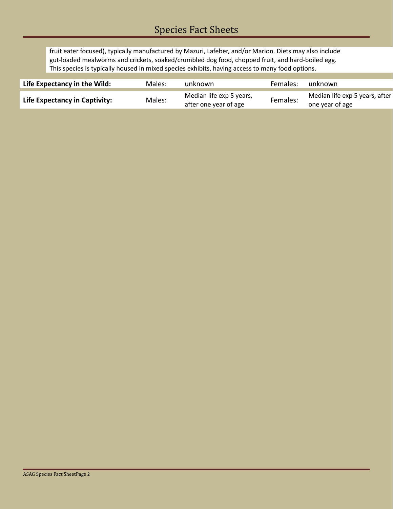fruit eater focused), typically manufactured by Mazuri, Lafeber, and/or Marion. Diets may also include gut-loaded mealworms and crickets, soaked/crumbled dog food, chopped fruit, and hard-boiled egg. This species is typically housed in mixed species exhibits, having access to many food options.

| Life Expectancy in the Wild:  | Males: | unknown                                           | Females: | unknown                                           |
|-------------------------------|--------|---------------------------------------------------|----------|---------------------------------------------------|
| Life Expectancy in Captivity: | Males: | Median life exp 5 years,<br>after one year of age | Females: | Median life exp 5 years, after<br>one year of age |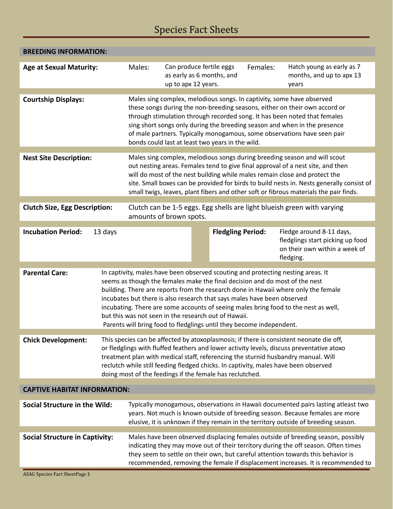| <b>BREEDING INFORMATION:</b>                                                                                                                                                                                                                                                                                                                                                                                                                                                                                                                                                     |                                                                                                                                                                                                                                                                                                                                                                                                                              |                                                                                                                                                                                                                                                                                                                                                                                                                                               |                                                                                                                                                                                                                                                          |                          |                                                                                                            |  |  |  |
|----------------------------------------------------------------------------------------------------------------------------------------------------------------------------------------------------------------------------------------------------------------------------------------------------------------------------------------------------------------------------------------------------------------------------------------------------------------------------------------------------------------------------------------------------------------------------------|------------------------------------------------------------------------------------------------------------------------------------------------------------------------------------------------------------------------------------------------------------------------------------------------------------------------------------------------------------------------------------------------------------------------------|-----------------------------------------------------------------------------------------------------------------------------------------------------------------------------------------------------------------------------------------------------------------------------------------------------------------------------------------------------------------------------------------------------------------------------------------------|----------------------------------------------------------------------------------------------------------------------------------------------------------------------------------------------------------------------------------------------------------|--------------------------|------------------------------------------------------------------------------------------------------------|--|--|--|
| <b>Age at Sexual Maturity:</b>                                                                                                                                                                                                                                                                                                                                                                                                                                                                                                                                                   | Males:                                                                                                                                                                                                                                                                                                                                                                                                                       | up to apx 12 years.                                                                                                                                                                                                                                                                                                                                                                                                                           | Can produce fertile eggs<br>Females:<br>as early as 6 months, and                                                                                                                                                                                        |                          | Hatch young as early as 7<br>months, and up to apx 13<br>years                                             |  |  |  |
| <b>Courtship Displays:</b>                                                                                                                                                                                                                                                                                                                                                                                                                                                                                                                                                       |                                                                                                                                                                                                                                                                                                                                                                                                                              | Males sing complex, melodious songs. In captivity, some have observed<br>these songs during the non-breeding seasons, either on their own accord or<br>through stimulation through recorded song. It has been noted that females<br>sing short songs only during the breeding season and when in the presence<br>of male partners. Typically monogamous, some observations have seen pair<br>bonds could last at least two years in the wild. |                                                                                                                                                                                                                                                          |                          |                                                                                                            |  |  |  |
| <b>Nest Site Description:</b>                                                                                                                                                                                                                                                                                                                                                                                                                                                                                                                                                    |                                                                                                                                                                                                                                                                                                                                                                                                                              | Males sing complex, melodious songs during breeding season and will scout<br>out nesting areas. Females tend to give final approval of a nest site, and then<br>will do most of the nest building while males remain close and protect the<br>site. Small boxes can be provided for birds to build nests in. Nests generally consist of<br>small twigs, leaves, plant fibers and other soft or fibrous materials the pair finds.              |                                                                                                                                                                                                                                                          |                          |                                                                                                            |  |  |  |
| <b>Clutch Size, Egg Description:</b>                                                                                                                                                                                                                                                                                                                                                                                                                                                                                                                                             |                                                                                                                                                                                                                                                                                                                                                                                                                              | Clutch can be 1-5 eggs. Egg shells are light blueish green with varying<br>amounts of brown spots.                                                                                                                                                                                                                                                                                                                                            |                                                                                                                                                                                                                                                          |                          |                                                                                                            |  |  |  |
| <b>Incubation Period:</b><br>13 days                                                                                                                                                                                                                                                                                                                                                                                                                                                                                                                                             |                                                                                                                                                                                                                                                                                                                                                                                                                              |                                                                                                                                                                                                                                                                                                                                                                                                                                               |                                                                                                                                                                                                                                                          | <b>Fledgling Period:</b> | Fledge around 8-11 days,<br>fledglings start picking up food<br>on their own within a week of<br>fledging. |  |  |  |
| In captivity, males have been observed scouting and protecting nesting areas. It<br><b>Parental Care:</b><br>seems as though the females make the final decision and do most of the nest<br>building. There are reports from the research done in Hawaii where only the female<br>incubates but there is also research that says males have been observed<br>incubating. There are some accounts of seeing males bring food to the nest as well,<br>but this was not seen in the research out of Hawaii.<br>Parents will bring food to fledglings until they become independent. |                                                                                                                                                                                                                                                                                                                                                                                                                              |                                                                                                                                                                                                                                                                                                                                                                                                                                               |                                                                                                                                                                                                                                                          |                          |                                                                                                            |  |  |  |
| <b>Chick Development:</b>                                                                                                                                                                                                                                                                                                                                                                                                                                                                                                                                                        | This species can be affected by atoxoplasmosis; if there is consistent neonate die off,<br>or fledglings with fluffed feathers and lower activity levels, discuss preventative atoxo<br>treatment plan with medical staff, referencing the sturnid husbandry manual. Will<br>reclutch while still feeding fledged chicks. In captivity, males have been observed<br>doing most of the feedings if the female has reclutched. |                                                                                                                                                                                                                                                                                                                                                                                                                                               |                                                                                                                                                                                                                                                          |                          |                                                                                                            |  |  |  |
| <b>CAPTIVE HABITAT INFORMATION:</b>                                                                                                                                                                                                                                                                                                                                                                                                                                                                                                                                              |                                                                                                                                                                                                                                                                                                                                                                                                                              |                                                                                                                                                                                                                                                                                                                                                                                                                                               |                                                                                                                                                                                                                                                          |                          |                                                                                                            |  |  |  |
| Social Structure in the Wild:                                                                                                                                                                                                                                                                                                                                                                                                                                                                                                                                                    |                                                                                                                                                                                                                                                                                                                                                                                                                              |                                                                                                                                                                                                                                                                                                                                                                                                                                               | Typically monogamous, observations in Hawaii documented pairs lasting atleast two<br>years. Not much is known outside of breeding season. Because females are more<br>elusive, it is unknown if they remain in the territory outside of breeding season. |                          |                                                                                                            |  |  |  |
| <b>Social Structure in Captivity:</b><br><b>ASAG Species Fact SheetPage 3</b>                                                                                                                                                                                                                                                                                                                                                                                                                                                                                                    |                                                                                                                                                                                                                                                                                                                                                                                                                              | Males have been observed displacing females outside of breeding season, possibly<br>indicating they may move out of their territory during the off season. Often times<br>they seem to settle on their own, but careful attention towards this behavior is<br>recommended, removing the female if displacement increases. It is recommended to                                                                                                |                                                                                                                                                                                                                                                          |                          |                                                                                                            |  |  |  |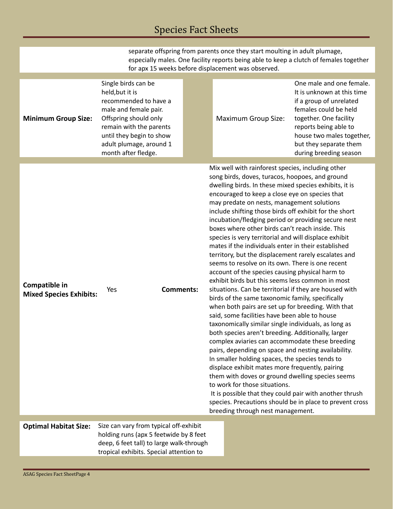separate offspring from parents once they start moulting in adult plumage, especially males. One facility reports being able to keep a clutch of females together for apx 15 weeks before displacement was observed.

| <b>Minimum Group Size:</b>                      | Single birds can be<br>held, but it is<br>recommended to have a<br>male and female pair.<br>Offspring should only<br>remain with the parents<br>until they begin to show<br>adult plumage, around 1<br>month after fledge. | Maximum Group Size:                                                                                                                                                                                                                                                                                                                                                                                                                                                                                                                                                                                                                                                                                                                                                                                                                                                                                                                                                                                                                                                                                                                                                                                                                                                                                                                                                                                                                                                                                            | One male and one female.<br>It is unknown at this time<br>if a group of unrelated<br>females could be held<br>together. One facility<br>reports being able to<br>house two males together,<br>but they separate them<br>during breeding season |
|-------------------------------------------------|----------------------------------------------------------------------------------------------------------------------------------------------------------------------------------------------------------------------------|----------------------------------------------------------------------------------------------------------------------------------------------------------------------------------------------------------------------------------------------------------------------------------------------------------------------------------------------------------------------------------------------------------------------------------------------------------------------------------------------------------------------------------------------------------------------------------------------------------------------------------------------------------------------------------------------------------------------------------------------------------------------------------------------------------------------------------------------------------------------------------------------------------------------------------------------------------------------------------------------------------------------------------------------------------------------------------------------------------------------------------------------------------------------------------------------------------------------------------------------------------------------------------------------------------------------------------------------------------------------------------------------------------------------------------------------------------------------------------------------------------------|------------------------------------------------------------------------------------------------------------------------------------------------------------------------------------------------------------------------------------------------|
| Compatible in<br><b>Mixed Species Exhibits:</b> | <b>Comments:</b><br>Yes                                                                                                                                                                                                    | Mix well with rainforest species, including other<br>song birds, doves, turacos, hoopoes, and ground<br>dwelling birds. In these mixed species exhibits, it is<br>encouraged to keep a close eye on species that<br>may predate on nests, management solutions<br>include shifting those birds off exhibit for the short<br>incubation/fledging period or providing secure nest<br>boxes where other birds can't reach inside. This<br>species is very territorial and will displace exhibit<br>mates if the individuals enter in their established<br>territory, but the displacement rarely escalates and<br>seems to resolve on its own. There is one recent<br>account of the species causing physical harm to<br>exhibit birds but this seems less common in most<br>situations. Can be territorial if they are housed with<br>birds of the same taxonomic family, specifically<br>when both pairs are set up for breeding. With that<br>said, some facilities have been able to house<br>taxonomically similar single individuals, as long as<br>both species aren't breeding. Additionally, larger<br>complex aviaries can accommodate these breeding<br>pairs, depending on space and nesting availability.<br>In smaller holding spaces, the species tends to<br>displace exhibit mates more frequently, pairing<br>them with doves or ground dwelling species seems<br>to work for those situations.<br>It is possible that they could pair with another thrush<br>breeding through nest management. | species. Precautions should be in place to prevent cross                                                                                                                                                                                       |
| <b>Optimal Habitat Size:</b>                    | Size can vary from typical off-exhibit                                                                                                                                                                                     |                                                                                                                                                                                                                                                                                                                                                                                                                                                                                                                                                                                                                                                                                                                                                                                                                                                                                                                                                                                                                                                                                                                                                                                                                                                                                                                                                                                                                                                                                                                |                                                                                                                                                                                                                                                |
|                                                 | holding runs (apx 5 feetwide by 8 feet<br>deep, 6 feet tall) to large walk-through                                                                                                                                         |                                                                                                                                                                                                                                                                                                                                                                                                                                                                                                                                                                                                                                                                                                                                                                                                                                                                                                                                                                                                                                                                                                                                                                                                                                                                                                                                                                                                                                                                                                                |                                                                                                                                                                                                                                                |
|                                                 | tropical exhibits. Special attention to                                                                                                                                                                                    |                                                                                                                                                                                                                                                                                                                                                                                                                                                                                                                                                                                                                                                                                                                                                                                                                                                                                                                                                                                                                                                                                                                                                                                                                                                                                                                                                                                                                                                                                                                |                                                                                                                                                                                                                                                |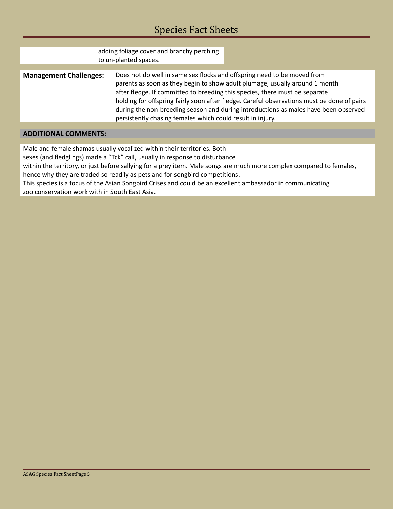| adding foliage cover and branchy perching<br>to un-planted spaces.<br>Does not do well in same sex flocks and offspring need to be moved from<br><b>Management Challenges:</b><br>parents as soon as they begin to show adult plumage, usually around 1 month                                                                  |
|--------------------------------------------------------------------------------------------------------------------------------------------------------------------------------------------------------------------------------------------------------------------------------------------------------------------------------|
|                                                                                                                                                                                                                                                                                                                                |
| after fledge. If committed to breeding this species, there must be separate<br>holding for offspring fairly soon after fledge. Careful observations must be done of pairs<br>during the non-breeding season and during introductions as males have been observed<br>persistently chasing females which could result in injury. |

#### **ADDITIONAL COMMENTS:**

Male and female shamas usually vocalized within their territories. Both

sexes (and fledglings) made a "Tck" call, usually in response to disturbance

within the territory, or just before sallying for a prey item. Male songs are much more complex compared to females,

hence why they are traded so readily as pets and for songbird competitions.

This species is a focus of the Asian Songbird Crises and could be an excellent ambassador in communicating zoo conservation work with in South East Asia.